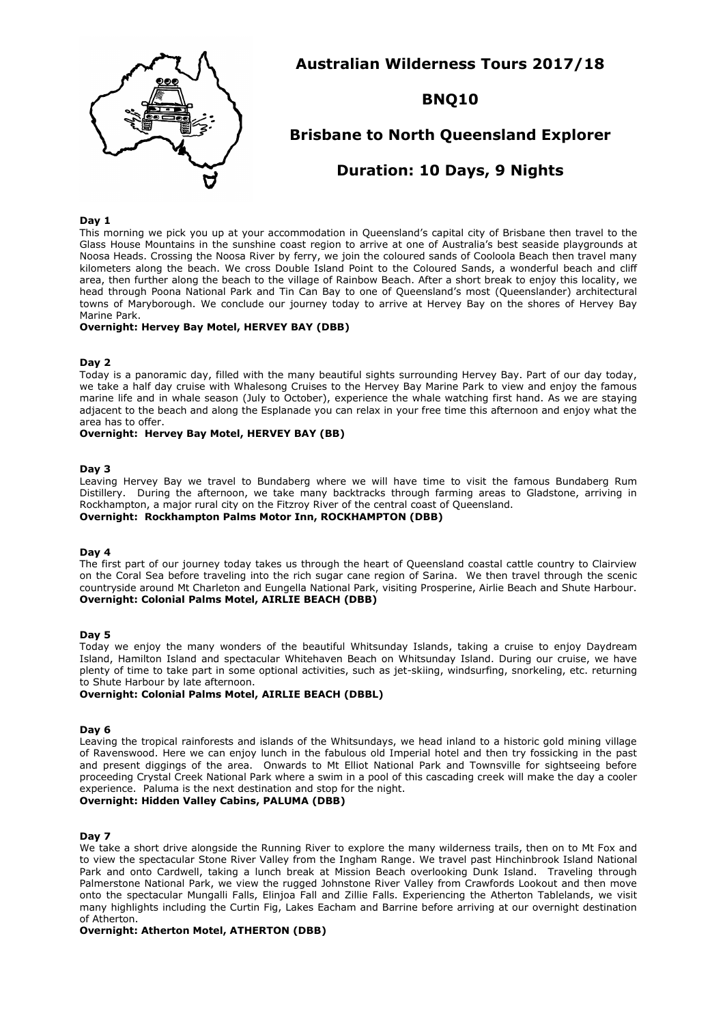

**Australian Wilderness Tours 2017/18**

# **BNQ10**

## **Brisbane to North Queensland Explorer**

## **Duration: 10 Days, 9 Nights**

### **Day 1**

This morning we pick you up at your accommodation in Queensland's capital city of Brisbane then travel to the Glass House Mountains in the sunshine coast region to arrive at one of Australia's best seaside playgrounds at Noosa Heads. Crossing the Noosa River by ferry, we join the coloured sands of Cooloola Beach then travel many kilometers along the beach. We cross Double Island Point to the Coloured Sands, a wonderful beach and cliff area, then further along the beach to the village of Rainbow Beach. After a short break to enjoy this locality, we head through Poona National Park and Tin Can Bay to one of Queensland's most (Queenslander) architectural towns of Maryborough. We conclude our journey today to arrive at Hervey Bay on the shores of Hervey Bay Marine Park.

## **Overnight: Hervey Bay Motel, HERVEY BAY (DBB)**

#### **Day 2**

Today is a panoramic day, filled with the many beautiful sights surrounding Hervey Bay. Part of our day today, we take a half day cruise with Whalesong Cruises to the Hervey Bay Marine Park to view and enjoy the famous marine life and in whale season (July to October), experience the whale watching first hand. As we are staying adjacent to the beach and along the Esplanade you can relax in your free time this afternoon and enjoy what the area has to offer.

## **Overnight: Hervey Bay Motel, HERVEY BAY (BB)**

#### **Day 3**

Leaving Hervey Bay we travel to Bundaberg where we will have time to visit the famous Bundaberg Rum Distillery. During the afternoon, we take many backtracks through farming areas to Gladstone, arriving in Rockhampton, a major rural city on the Fitzroy River of the central coast of Queensland. **Overnight: Rockhampton Palms Motor Inn, ROCKHAMPTON (DBB)**

#### **Day 4**

The first part of our journey today takes us through the heart of Queensland coastal cattle country to Clairview on the Coral Sea before traveling into the rich sugar cane region of Sarina. We then travel through the scenic countryside around Mt Charleton and Eungella National Park, visiting Prosperine, Airlie Beach and Shute Harbour. **Overnight: Colonial Palms Motel, AIRLIE BEACH (DBB)**

#### **Day 5**

Today we enjoy the many wonders of the beautiful Whitsunday Islands, taking a cruise to enjoy Daydream Island, Hamilton Island and spectacular Whitehaven Beach on Whitsunday Island. During our cruise, we have plenty of time to take part in some optional activities, such as jet-skiing, windsurfing, snorkeling, etc. returning to Shute Harbour by late afternoon.

#### **Overnight: Colonial Palms Motel, AIRLIE BEACH (DBBL)**

#### **Day 6**

Leaving the tropical rainforests and islands of the Whitsundays, we head inland to a historic gold mining village of Ravenswood. Here we can enjoy lunch in the fabulous old Imperial hotel and then try fossicking in the past and present diggings of the area. Onwards to Mt Elliot National Park and Townsville for sightseeing before proceeding Crystal Creek National Park where a swim in a pool of this cascading creek will make the day a cooler experience. Paluma is the next destination and stop for the night.

#### **Overnight: Hidden Valley Cabins, PALUMA (DBB)**

#### **Day 7**

We take a short drive alongside the Running River to explore the many wilderness trails, then on to Mt Fox and to view the spectacular Stone River Valley from the Ingham Range. We travel past Hinchinbrook Island National Park and onto Cardwell, taking a lunch break at Mission Beach overlooking Dunk Island. Traveling through Palmerstone National Park, we view the rugged Johnstone River Valley from Crawfords Lookout and then move onto the spectacular Mungalli Falls, Elinjoa Fall and Zillie Falls. Experiencing the Atherton Tablelands, we visit many highlights including the Curtin Fig, Lakes Eacham and Barrine before arriving at our overnight destination of Atherton.

## **Overnight: Atherton Motel, ATHERTON (DBB)**